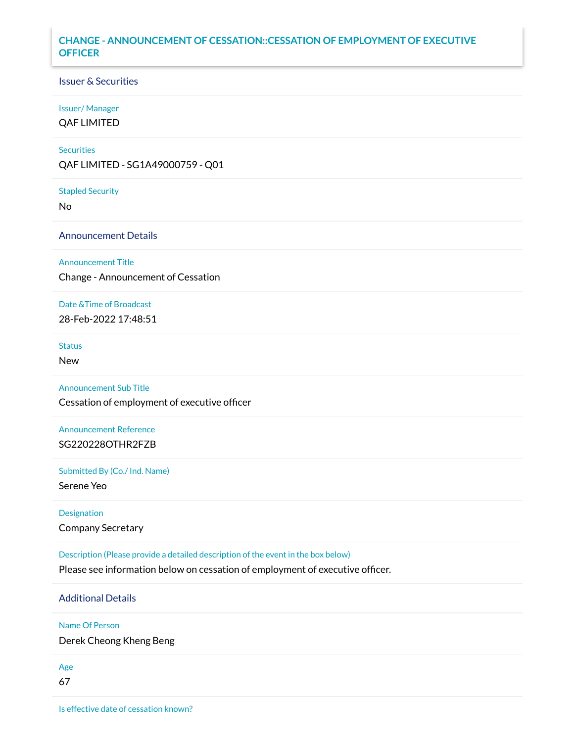# **CHANGE - ANNOUNCEMENT OF CESSATION::CESSATION OF EMPLOYMENT OF EXECUTIVE OFFICER**

#### Issuer & Securities

# Issuer/ Manager

QAF LIMITED

#### **Securities**

QAF LIMITED - SG1A49000759 - Q01

Stapled Security

No

Announcement Details

#### Announcement Title

Change - Announcement of Cessation

# Date &Time of Broadcast

28-Feb-2022 17:48:51

#### **Status**

New

#### Announcement Sub Title

Cessation of employment of executive officer

# Announcement Reference SG220228OTHR2FZB

#### Submitted By (Co./ Ind. Name)

Serene Yeo

#### Designation

Company Secretary

Description (Please provide a detailed description of the event in the box below)

Please see information below on cessation of employment of executive officer.

# Additional Details

#### Name Of Person

Derek Cheong Kheng Beng

# Age

67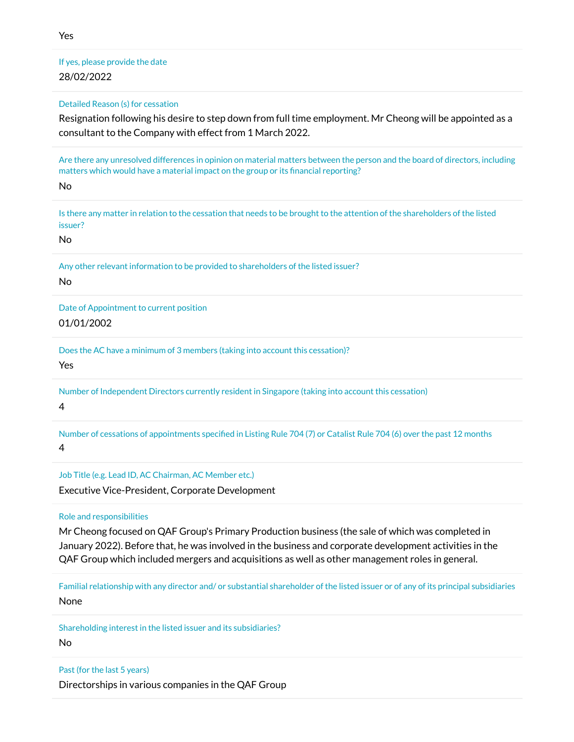If yes, please provide the date 28/02/2022

Detailed Reason (s) for cessation

Resignation following his desire to step down from full time employment. Mr Cheong will be appointed as a consultant to the Company with effect from 1 March 2022.

Are there any unresolved differences in opinion on material matters between the person and the board of directors, including matters which would have a material impact on the group or its financial reporting?

No

Is there any matter in relation to the cessation that needs to be brought to the attention of the shareholders of the listed issuer?

No

Any other relevant information to be provided to shareholders of the listed issuer?

No

Date of Appointment to current position 01/01/2002

Does the AC have a minimum of 3 members (taking into account this cessation)?

Yes

Number of Independent Directors currently resident in Singapore (taking into account this cessation)

4

Number of cessations of appointments specified in Listing Rule 704 (7) or Catalist Rule 704 (6) over the past 12 months 4

Job Title (e.g. Lead ID, AC Chairman, AC Member etc.)

Executive Vice-President, Corporate Development

Role and responsibilities

Mr Cheong focused on QAF Group's Primary Production business (the sale of which was completed in January 2022). Before that, he was involved in the business and corporate development activities in the QAF Group which included mergers and acquisitions as well as other management roles in general.

Familial relationship with any director and/ or substantial shareholder of the listed issuer or of any of its principal subsidiaries None

Shareholding interest in the listed issuer and its subsidiaries?

No

Past (for the last 5 years)

Directorships in various companies in the QAF Group